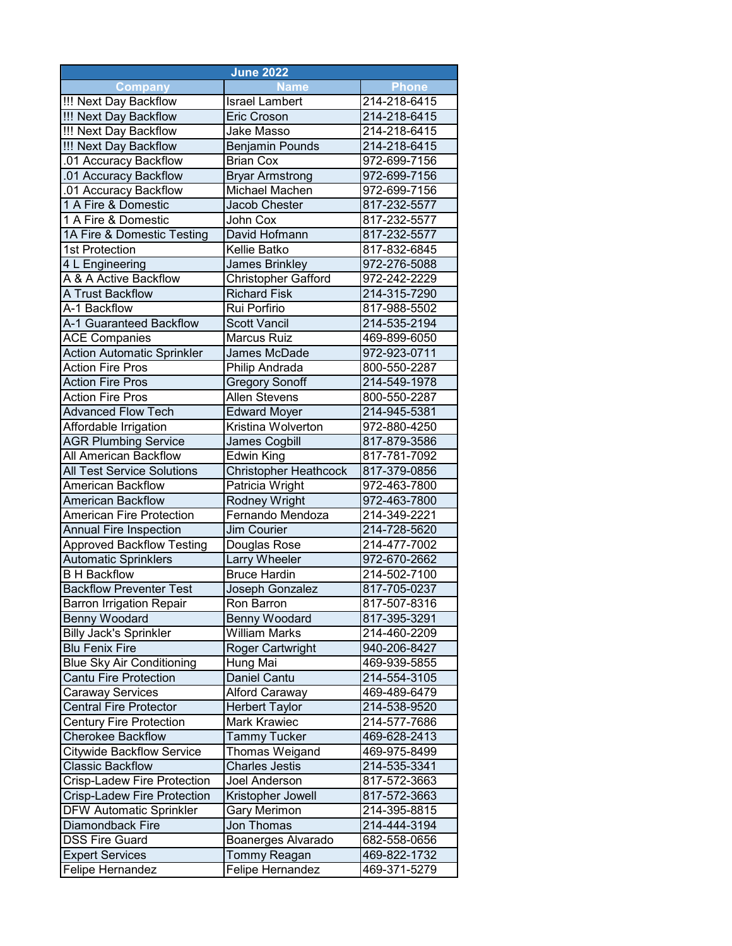| <b>June 2022</b>                                |                                    |                              |  |  |
|-------------------------------------------------|------------------------------------|------------------------------|--|--|
| <b>Company</b>                                  | <b>Name</b>                        | <b>Phone</b>                 |  |  |
| !!! Next Day Backflow                           | <b>Israel Lambert</b>              | 214-218-6415                 |  |  |
| !!! Next Day Backflow                           | <b>Eric Croson</b>                 | 214-218-6415                 |  |  |
| !!! Next Day Backflow                           | <b>Jake Masso</b>                  | 214-218-6415                 |  |  |
| !!! Next Day Backflow                           | <b>Benjamin Pounds</b>             | 214-218-6415                 |  |  |
| .01 Accuracy Backflow                           | <b>Brian Cox</b>                   | 972-699-7156                 |  |  |
| .01 Accuracy Backflow                           | <b>Bryar Armstrong</b>             | 972-699-7156                 |  |  |
| .01 Accuracy Backflow                           | <b>Michael Machen</b>              | 972-699-7156                 |  |  |
| 1 A Fire & Domestic                             | Jacob Chester                      | 817-232-5577                 |  |  |
| 1 A Fire & Domestic                             | John Cox                           | 817-232-5577                 |  |  |
| 1A Fire & Domestic Testing                      | David Hofmann                      | 817-232-5577                 |  |  |
| 1st Protection                                  | Kellie Batko                       | 817-832-6845                 |  |  |
| 4 L Engineering                                 | <b>James Brinkley</b>              | 972-276-5088                 |  |  |
| A & A Active Backflow                           | Christopher Gafford                | 972-242-2229                 |  |  |
| A Trust Backflow                                | <b>Richard Fisk</b>                | 214-315-7290                 |  |  |
| A-1 Backflow                                    | Rui Porfirio                       | 817-988-5502                 |  |  |
| A-1 Guaranteed Backflow                         | <b>Scott Vancil</b>                | 214-535-2194                 |  |  |
| <b>ACE Companies</b>                            | <b>Marcus Ruiz</b>                 | 469-899-6050                 |  |  |
| <b>Action Automatic Sprinkler</b>               | James McDade                       | 972-923-0711                 |  |  |
| <b>Action Fire Pros</b>                         | Philip Andrada                     | 800-550-2287                 |  |  |
| <b>Action Fire Pros</b>                         | <b>Gregory Sonoff</b>              | 214-549-1978                 |  |  |
| <b>Action Fire Pros</b>                         | <b>Allen Stevens</b>               | 800-550-2287                 |  |  |
| <b>Advanced Flow Tech</b>                       | <b>Edward Moyer</b>                | 214-945-5381                 |  |  |
| Affordable Irrigation                           | Kristina Wolverton                 | 972-880-4250                 |  |  |
| <b>AGR Plumbing Service</b>                     | James Cogbill                      | 817-879-3586                 |  |  |
| All American Backflow                           | <b>Edwin King</b>                  | 817-781-7092                 |  |  |
| <b>All Test Service Solutions</b>               | <b>Christopher Heathcock</b>       | 817-379-0856                 |  |  |
| <b>American Backflow</b>                        | Patricia Wright                    | 972-463-7800                 |  |  |
| <b>American Backflow</b>                        | Rodney Wright                      | 972-463-7800                 |  |  |
| <b>American Fire Protection</b>                 | Fernando Mendoza                   | 214-349-2221                 |  |  |
| <b>Annual Fire Inspection</b>                   | Jim Courier                        | 214-728-5620                 |  |  |
| <b>Approved Backflow Testing</b>                | Douglas Rose                       | 214-477-7002                 |  |  |
| <b>Automatic Sprinklers</b>                     | <b>Larry Wheeler</b>               | 972-670-2662                 |  |  |
| <b>B</b> H Backflow                             | <b>Bruce Hardin</b>                | 214-502-7100                 |  |  |
| <b>Backflow Preventer Test</b>                  | Joseph Gonzalez                    | 817-705-0237                 |  |  |
| Barron Irrigation Repair                        | Ron Barron                         | 817-507-8316                 |  |  |
| <b>Benny Woodard</b>                            | Benny Woodard                      | 817-395-3291                 |  |  |
| <b>Billy Jack's Sprinkler</b>                   | <b>William Marks</b>               | 214-460-2209                 |  |  |
| <b>Blu Fenix Fire</b>                           | Roger Cartwright                   | 940-206-8427                 |  |  |
| <b>Blue Sky Air Conditioning</b>                | Hung Mai                           | 469-939-5855                 |  |  |
| <b>Cantu Fire Protection</b>                    | Daniel Cantu                       | 214-554-3105                 |  |  |
| Caraway Services                                | Alford Caraway                     | 469-489-6479                 |  |  |
| <b>Central Fire Protector</b>                   | <b>Herbert Taylor</b>              | 214-538-9520                 |  |  |
| <b>Century Fire Protection</b>                  | Mark Krawiec                       | 214-577-7686                 |  |  |
| <b>Cherokee Backflow</b>                        | <b>Tammy Tucker</b>                | 469-628-2413                 |  |  |
| <b>Citywide Backflow Service</b>                | Thomas Weigand                     | 469-975-8499                 |  |  |
| <b>Classic Backflow</b>                         | <b>Charles Jestis</b>              | 214-535-3341                 |  |  |
| Crisp-Ladew Fire Protection                     | Joel Anderson                      | 817-572-3663                 |  |  |
| Crisp-Ladew Fire Protection                     | Kristopher Jowell                  | 817-572-3663                 |  |  |
|                                                 | Gary Merimon                       | 214-395-8815                 |  |  |
|                                                 |                                    | 214-444-3194                 |  |  |
| <b>DFW Automatic Sprinkler</b>                  |                                    |                              |  |  |
| Diamondback Fire                                | Jon Thomas                         |                              |  |  |
| <b>DSS Fire Guard</b><br><b>Expert Services</b> | Boanerges Alvarado<br>Tommy Reagan | 682-558-0656<br>469-822-1732 |  |  |